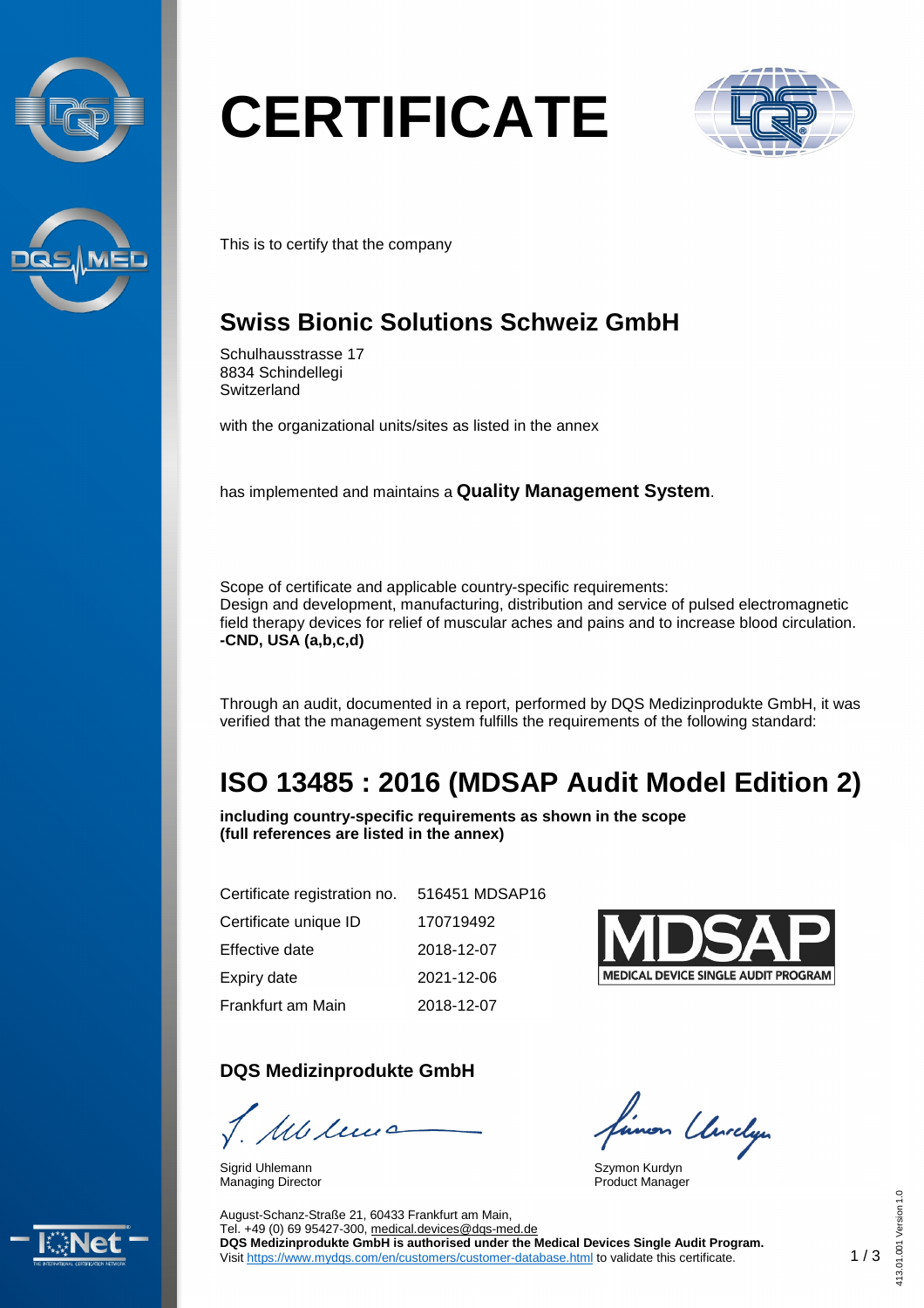



# **CERTIFICATE**



This is to certify that the company

## **Swiss Bionic Solutions Schweiz GmbH**

Schulhausstrasse 17 8834 Schindellegi **Switzerland** 

with the organizational units/sites as listed in the annex

has implemented and maintains a **Quality Management System**.

Scope of certificate and applicable country-specific requirements: Design and development, manufacturing, distribution and service of pulsed electromagnetic field therapy devices for relief of muscular aches and pains and to increase blood circulation. **-CND, USA (a,b,c,d)**

Through an audit, documented in a report, performed by DQS Medizinprodukte GmbH, it was verified that the management system fulfills the requirements of the following standard:

# **ISO 13485 : 2016 (MDSAP Audit Model Edition 2)**

**including country-specific requirements as shown in the scope (full references are listed in the annex)**

| Certificate registration no. | 516451 MDSAP16 |  |
|------------------------------|----------------|--|
| Certificate unique ID        | 170719492      |  |
| Effective date               | 2018-12-07     |  |
| Expiry date                  | 2021-12-06     |  |
| Frankfurt am Main            | 2018-12-07     |  |

#### **DQS Medizinprodukte GmbH**

1 Milions

Sigrid Uhlemann Managing Director



linon Unrelyn

Szymon Kurdyn Product Manager



August-Schanz-Straße 21, 60433 Frankfurt am Main, Tel. +49 (0) 69 95427-300, [medical.devices@dqs-med.de](mailto:medical.devices@dqs-med.de) **DQS Medizinprodukte GmbH is authorised under the Medical Devices Single Audit Program.** Visit <https://www.mydqs.com/en/customers/customer-database.html> to validate this certificate.

413.01.001 Version 1.0

 $1.0$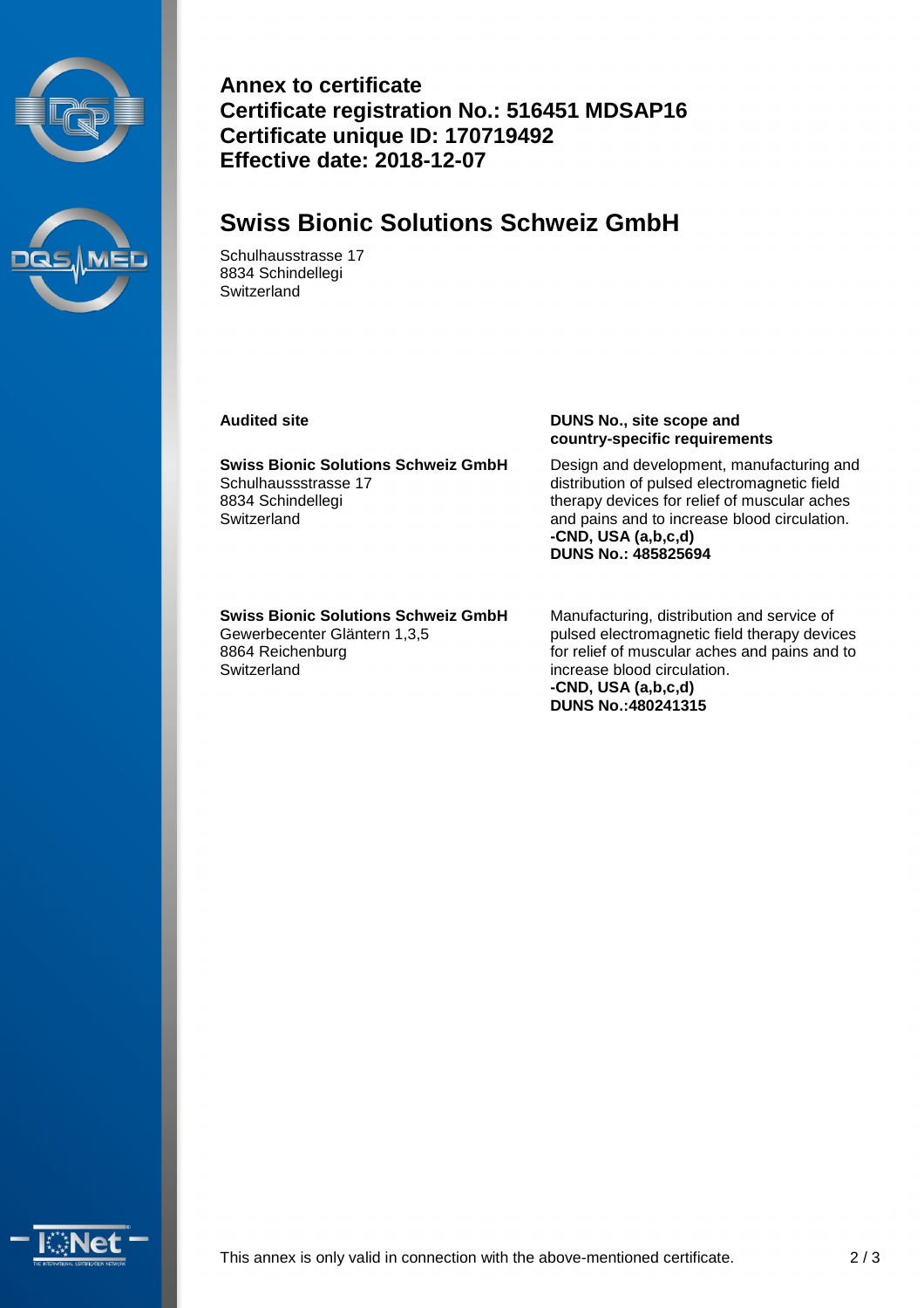



**Annex to certificate Certificate registration No.: 516451 MDSAP16 Certificate unique ID: 170719492 Effective date: 2018-12-07**

#### **Swiss Bionic Solutions Schweiz GmbH**

Schulhausstrasse 17 8834 Schindellegi **Switzerland** 

**Swiss Bionic Solutions Schweiz GmbH** Schulhaussstrasse 17 8834 Schindellegi **Switzerland** 

#### **Audited site DUNS No., site scope and country-specific requirements**

Design and development, manufacturing and distribution of pulsed electromagnetic field therapy devices for relief of muscular aches and pains and to increase blood circulation. **-CND, USA (a,b,c,d) DUNS No.: 485825694**

**Swiss Bionic Solutions Schweiz GmbH** Gewerbecenter Gläntern 1,3,5 8864 Reichenburg **Switzerland** 

Manufacturing, distribution and service of pulsed electromagnetic field therapy devices for relief of muscular aches and pains and to increase blood circulation. **-CND, USA (a,b,c,d) DUNS No.:480241315**